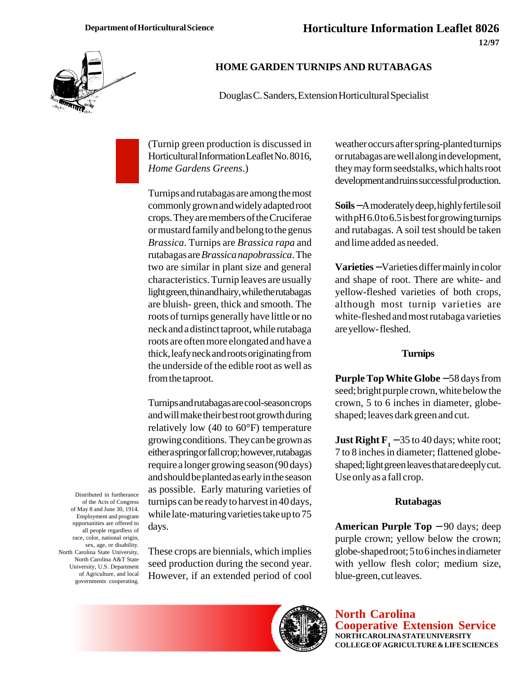

## **HOME GARDEN TURNIPS AND RUTABAGAS**

Douglas C. Sanders, Extension Horticultural Specialist

(Turnip green production is discussed in Horticultural Information Leaflet No. 8016, *Home Gardens Greens*.)

Turnips and rutabagas are among the most commonly grown and widely adapted root crops. They are members of the Cruciferae or mustard family and belong to the genus *Brassica*. Turnips are *Brassica rapa* and rutabagas are *Brassica napobrassica*. The two are similar in plant size and general characteristics. Turnip leaves are usually light green, thin and hairy, while the rutabagas are bluish- green, thick and smooth. The roots of turnips generally have little or no neck and a distinct taproot, while rutabaga roots are often more elongated and have a thick, leafy neck and roots originating from the underside of the edible root as well as from the taproot.

Turnips and rutabagas are cool-season crops and will make their best root growth during relatively low (40 to 60°F) temperature growing conditions. They can be grown as either a spring or fall crop; however, rutabagas require a longer growing season (90 days) and should be planted as early in the season as possible. Early maturing varieties of turnips can be ready to harvest in 40 days, while late-maturing varieties take up to 75 days.

Distributed in furtherance of the Acts of Congress of May 8 and June 30, 1914. Employment and program opportunities are offered to all people regardless of race, color, national origin, sex, age, or disability. North Carolina State University, North Carolina A&T State University, U.S. Department of Agriculture, and local governments cooperating.

These crops are biennials, which implies seed production during the second year. However, if an extended period of cool weather occurs after spring-planted turnips or rutabagas are well along in development, they may form seedstalks, which halts root development and ruins successful production.

**Soils** − A moderately deep, highly fertile soil with pH 6.0 to 6.5 is best for growing turnips and rutabagas. A soil test should be taken and lime added as needed.

**Varieties** − Varieties differ mainly in color and shape of root. There are white- and yellow-fleshed varieties of both crops, although most turnip varieties are white-fleshed and most rutabaga varieties are yellow- fleshed.

#### **Turnips**

**Purple Top White Globe** − 58 days from seed; bright purple crown, white below the crown, 5 to 6 inches in diameter, globeshaped; leaves dark green and cut.

**Just Right F**<sub>1</sub> – 35 to 40 days; white root; 7 to 8 inches in diameter; flattened globeshaped; light green leaves that are deeply cut. Use only as a fall crop.

#### **Rutabagas**

**American Purple Top** − 90 days; deep purple crown; yellow below the crown; globe-shaped root; 5 to 6 inches in diameter with yellow flesh color; medium size, blue-green, cut leaves.



**North Carolina Cooperative Extension Service NORTH CAROLINA STATE UNIVERSITY COLLEGE OF AGRICULTURE & LIFE SCIENCES**